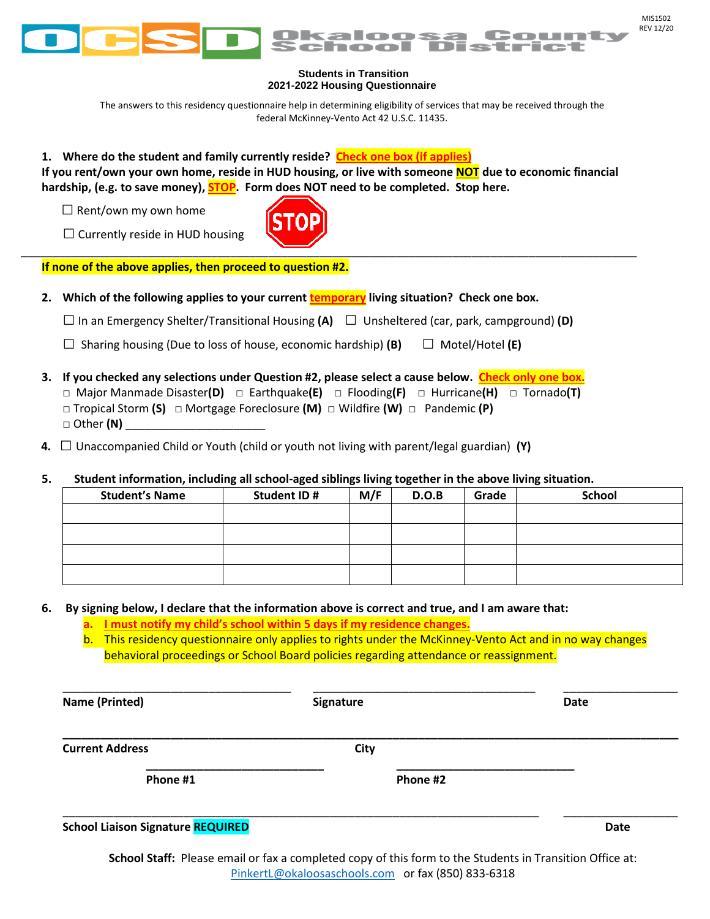

## **Students in Transition 2021-2022 Housing Questionnaire**

The answers to this residency questionnaire help in determining eligibility of services that may be received through the federal McKinney-Vento Act 42 U.S.C. 11435.

**1. Where do the student and family currently reside? Check one box (if applies)**

**If you rent/own your own home, reside in HUD housing, or live with someone NOT due to economic financial hardship, (e.g. to save money), STOP. Form does NOT need to be completed. Stop here.**

 $\square$  Rent/own my own home

 $\square$  Currently reside in HUD housing



**If none of the above applies, then proceed to question #2.** 

**2. Which of the following applies to your current temporary living situation? Check one box.**

**□**In an Emergency Shelter/Transitional Housing **(A) □** Unsheltered (car, park, campground) **(D)**

**□** Sharing housing (Due to loss of house, economic hardship) **(B) □** Motel/Hotel **(E)**

- **3. If you checked any selections under Question #2, please select a cause below. Check only one box.** □ Major Manmade Disaster**(D)** □ Earthquake**(E)** □ Flooding**(F)** □ Hurricane**(H)** □ Tornado**(T)** □ Tropical Storm **(S)** □ Mortgage Foreclosure **(M)** □ Wildfire **(W)** □ Pandemic **(P)** □ Other **(N)** \_\_\_\_\_\_\_\_\_\_\_\_\_\_\_\_\_\_\_\_\_\_
- **4. □** Unaccompanied Child or Youth (child or youth not living with parent/legal guardian) **(Y)**

## **5. Student information, including all school-aged siblings living together in the above living situation.**

| <b>Student's Name</b> | Student ID # | M/F | D.O.B | Grade | <b>School</b> |
|-----------------------|--------------|-----|-------|-------|---------------|
|                       |              |     |       |       |               |
|                       |              |     |       |       |               |
|                       |              |     |       |       |               |
|                       |              |     |       |       |               |

## **6. By signing below, I declare that the information above is correct and true, and I am aware that:**

**a. I must notify my child's school within 5 days if my residence changes.**

b. This residency questionnaire only applies to rights under the McKinney-Vento Act and in no way changes behavioral proceedings or School Board policies regarding attendance or reassignment.

| <b>Name (Printed)</b>                    | Signature | <b>Date</b> |
|------------------------------------------|-----------|-------------|
| <b>Current Address</b>                   | City      |             |
| Phone #1                                 | Phone #2  |             |
| <b>School Liaison Signature REQUIRED</b> |           | <b>Date</b> |

**School Staff:** Please email or fax a completed copy of this form to the Students in Transition Office at: [PinkertL@okaloosaschools.com](mailto:PinkertL@okaloosaschools.com) or fax (850) 833-6318